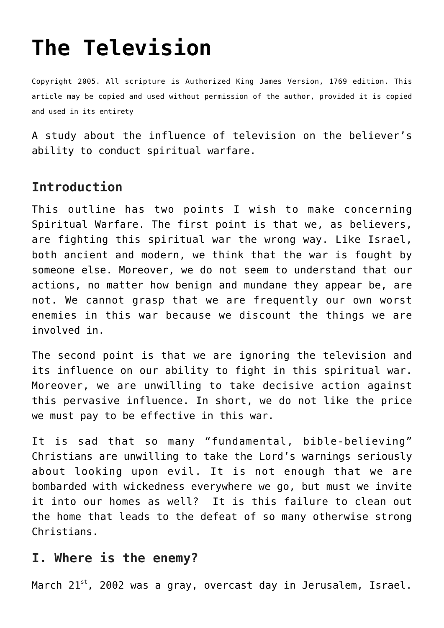# **[The Television](http://reproachofmen.org/spiritualwar/the-television/)**

Copyright 2005. All scripture is Authorized King James Version, 1769 edition. This article may be copied and used without permission of the author, provided it is copied and used in its entirety

A study about the influence of television on the believer's ability to conduct spiritual warfare.

#### **Introduction**

This outline has two points I wish to make concerning Spiritual Warfare. The first point is that we, as believers, are fighting this spiritual war the wrong way. Like Israel, both ancient and modern, we think that the war is fought by someone else. Moreover, we do not seem to understand that our actions, no matter how benign and mundane they appear be, are not. We cannot grasp that we are frequently our own worst enemies in this war because we discount the things we are involved in.

The second point is that we are ignoring the television and its influence on our ability to fight in this spiritual war. Moreover, we are unwilling to take decisive action against this pervasive influence. In short, we do not like the price we must pay to be effective in this war.

It is sad that so many "fundamental, bible-believing" Christians are unwilling to take the Lord's warnings seriously about looking upon evil. It is not enough that we are bombarded with wickedness everywhere we go, but must we invite it into our homes as well? It is this failure to clean out the home that leads to the defeat of so many otherwise strong Christians.

#### **I. Where is the enemy?**

March  $21^{st}$ , 2002 was a gray, overcast day in Jerusalem, Israel.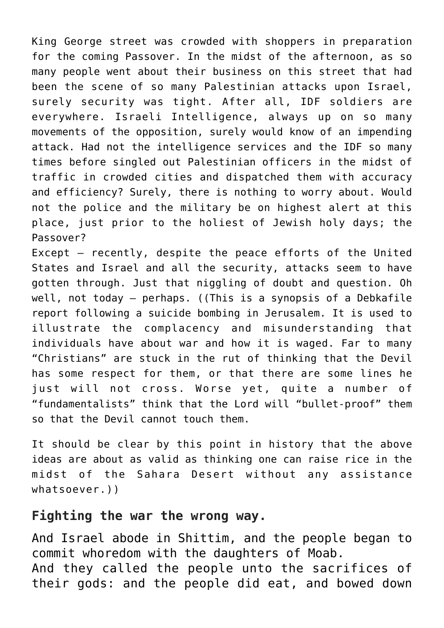King George street was crowded with shoppers in preparation for the coming Passover. In the midst of the afternoon, as so many people went about their business on this street that had been the scene of so many Palestinian attacks upon Israel, surely security was tight. After all, IDF soldiers are everywhere. Israeli Intelligence, always up on so many movements of the opposition, surely would know of an impending attack. Had not the intelligence services and the IDF so many times before singled out Palestinian officers in the midst of traffic in crowded cities and dispatched them with accuracy and efficiency? Surely, there is nothing to worry about. Would not the police and the military be on highest alert at this place, just prior to the holiest of Jewish holy days; the Passover?

Except — recently, despite the peace efforts of the United States and Israel and all the security, attacks seem to have gotten through. Just that niggling of doubt and question. Oh well, not today — perhaps. ((This is a synopsis of a Debkafile report following a suicide bombing in Jerusalem. It is used to illustrate the complacency and misunderstanding that individuals have about war and how it is waged. Far to many "Christians" are stuck in the rut of thinking that the Devil has some respect for them, or that there are some lines he just will not cross. Worse yet, quite a number of "fundamentalists" think that the Lord will "bullet-proof" them so that the Devil cannot touch them.

It should be clear by this point in history that the above ideas are about as valid as thinking one can raise rice in the midst of the Sahara Desert without any assistance whatsoever.))

#### **Fighting the war the wrong way.**

And Israel abode in Shittim, and the people began to commit whoredom with the daughters of Moab. And they called the people unto the sacrifices of their gods: and the people did eat, and bowed down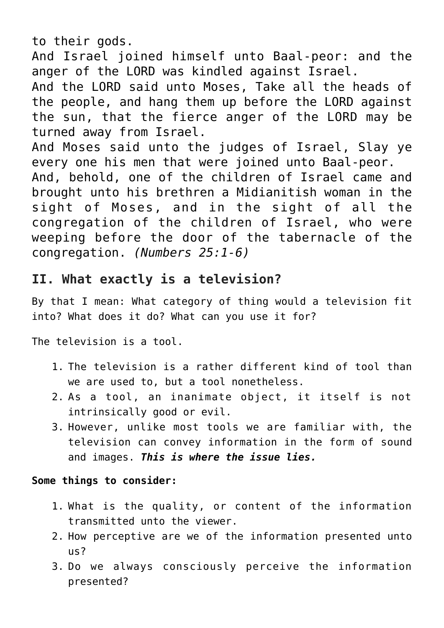to their gods.

And Israel joined himself unto Baal-peor: and the anger of the LORD was kindled against Israel.

And the LORD said unto Moses, Take all the heads of the people, and hang them up before the LORD against the sun, that the fierce anger of the LORD may be turned away from Israel.

And Moses said unto the judges of Israel, Slay ye every one his men that were joined unto Baal-peor. And, behold, one of the children of Israel came and brought unto his brethren a Midianitish woman in the sight of Moses, and in the sight of all the congregation of the children of Israel, who were weeping before the door of the tabernacle of the congregation. *(Numbers 25:1-6)*

## **II. What exactly is a television?**

By that I mean: What category of thing would a television fit into? What does it do? What can you use it for?

The television is a tool.

- 1. The television is a rather different kind of tool than we are used to, but a tool nonetheless.
- 2. As a tool, an inanimate object, it itself is not intrinsically good or evil.
- 3. However, unlike most tools we are familiar with, the television can convey information in the form of sound and images. *This is where the issue lies.*

#### **Some things to consider:**

- 1. What is the quality, or content of the information transmitted unto the viewer.
- 2. How perceptive are we of the information presented unto us?
- 3. Do we always consciously perceive the information presented?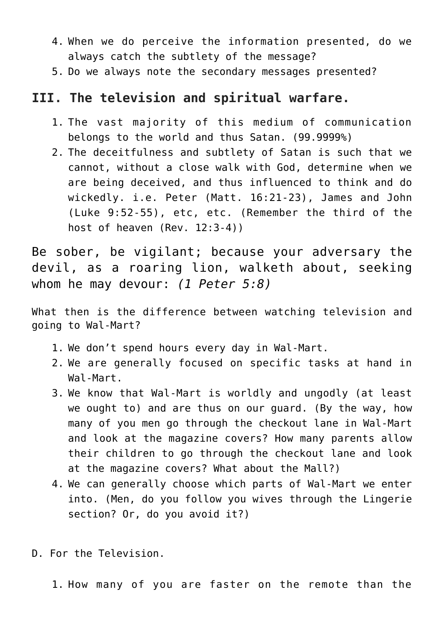- 4. When we do perceive the information presented, do we always catch the subtlety of the message?
- 5. Do we always note the secondary messages presented?

## **III. The television and spiritual warfare.**

- 1. The vast majority of this medium of communication belongs to the world and thus Satan. (99.9999%)
- 2. The deceitfulness and subtlety of Satan is such that we cannot, without a close walk with God, determine when we are being deceived, and thus influenced to think and do wickedly. i.e. Peter (Matt. 16:21-23), James and John (Luke 9:52-55), etc, etc. (Remember the third of the host of heaven (Rev. 12:3-4))

Be sober, be vigilant; because your adversary the devil, as a roaring lion, walketh about, seeking whom he may devour: *(1 Peter 5:8)*

What then is the difference between watching television and going to Wal-Mart?

- 1. We don't spend hours every day in Wal-Mart.
- 2. We are generally focused on specific tasks at hand in Wal-Mart.
- 3. We know that Wal-Mart is worldly and ungodly (at least we ought to) and are thus on our guard. (By the way, how many of you men go through the checkout lane in Wal-Mart and look at the magazine covers? How many parents allow their children to go through the checkout lane and look at the magazine covers? What about the Mall?)
- 4. We can generally choose which parts of Wal-Mart we enter into. (Men, do you follow you wives through the Lingerie section? Or, do you avoid it?)
- D. For the Television.

1. How many of you are faster on the remote than the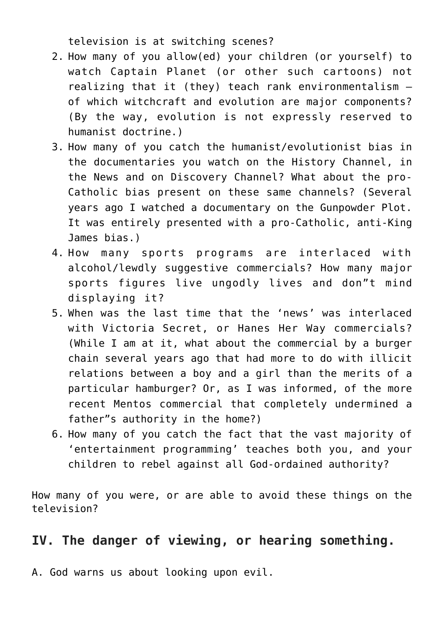television is at switching scenes?

- 2. How many of you allow(ed) your children (or yourself) to watch Captain Planet (or other such cartoons) not realizing that it (they) teach rank environmentalism of which witchcraft and evolution are major components? (By the way, evolution is not expressly reserved to humanist doctrine.)
- 3. How many of you catch the humanist/evolutionist bias in the documentaries you watch on the History Channel, in the News and on Discovery Channel? What about the pro-Catholic bias present on these same channels? (Several years ago I watched a documentary on the Gunpowder Plot. It was entirely presented with a pro-Catholic, anti-King James bias.)
- 4. How many sports programs are interlaced with alcohol/lewdly suggestive commercials? How many major sports figures live ungodly lives and don"t mind displaying it?
- 5. When was the last time that the 'news' was interlaced with Victoria Secret, or Hanes Her Way commercials? (While I am at it, what about the commercial by a burger chain several years ago that had more to do with illicit relations between a boy and a girl than the merits of a particular hamburger? Or, as I was informed, of the more recent Mentos commercial that completely undermined a father"s authority in the home?)
- 6. How many of you catch the fact that the vast majority of 'entertainment programming' teaches both you, and your children to rebel against all God-ordained authority?

How many of you were, or are able to avoid these things on the television?

## **IV. The danger of viewing, or hearing something.**

A. God warns us about looking upon evil.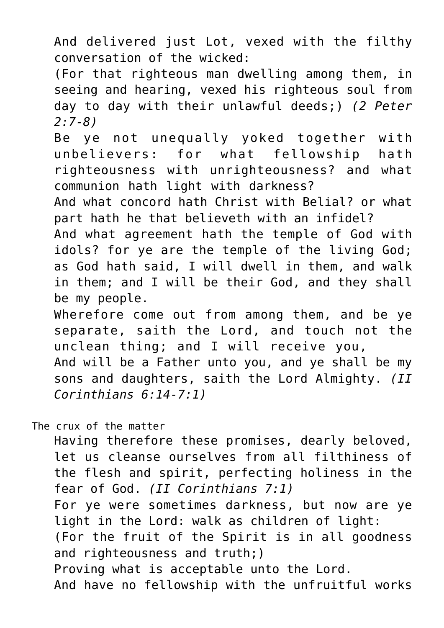And delivered just Lot, vexed with the filthy conversation of the wicked:

(For that righteous man dwelling among them, in seeing and hearing, vexed his righteous soul from day to day with their unlawful deeds;) *(2 Peter 2:7-8)*

Be ye not unequally yoked together with unbelievers: for what fellowship hath righteousness with unrighteousness? and what communion hath light with darkness?

And what concord hath Christ with Belial? or what part hath he that believeth with an infidel?

And what agreement hath the temple of God with idols? for ye are the temple of the living God; as God hath said, I will dwell in them, and walk in them; and I will be their God, and they shall be my people.

Wherefore come out from among them, and be ye separate, saith the Lord, and touch not the unclean thing; and I will receive you, And will be a Father unto you, and ye shall be my sons and daughters, saith the Lord Almighty. *(II Corinthians 6:14-7:1)*

The crux of the matter

Having therefore these promises, dearly beloved, let us cleanse ourselves from all filthiness of the flesh and spirit, perfecting holiness in the fear of God. *(II Corinthians 7:1)*

For ye were sometimes darkness, but now are ye light in the Lord: walk as children of light:

(For the fruit of the Spirit is in all goodness and righteousness and truth;)

Proving what is acceptable unto the Lord.

And have no fellowship with the unfruitful works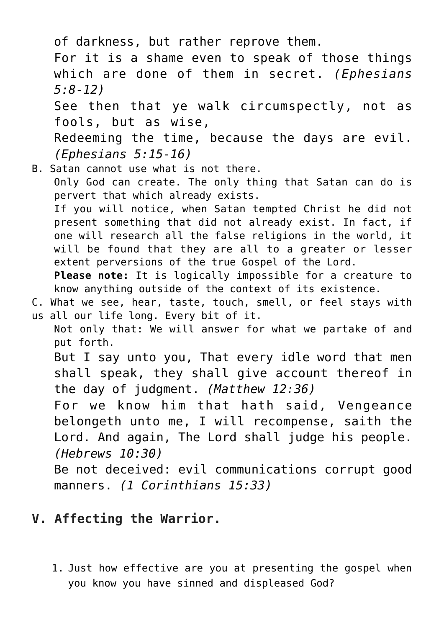of darkness, but rather reprove them. For it is a shame even to speak of those things which are done of them in secret. *(Ephesians 5:8-12)* See then that ye walk circumspectly, not as fools, but as wise, Redeeming the time, because the days are evil. *(Ephesians 5:15-16)* B. Satan cannot use what is not there. Only God can create. The only thing that Satan can do is

pervert that which already exists. If you will notice, when Satan tempted Christ he did not present something that did not already exist. In fact, if one will research all the false religions in the world, it will be found that they are all to a greater or lesser extent perversions of the true Gospel of the Lord.

**Please note:** It is logically impossible for a creature to know anything outside of the context of its existence.

C. What we see, hear, taste, touch, smell, or feel stays with us all our life long. Every bit of it.

Not only that: We will answer for what we partake of and put forth.

But I say unto you, That every idle word that men shall speak, they shall give account thereof in the day of judgment. *(Matthew 12:36)*

For we know him that hath said, Vengeance belongeth unto me, I will recompense, saith the Lord. And again, The Lord shall judge his people. *(Hebrews 10:30)*

Be not deceived: evil communications corrupt good manners. *(1 Corinthians 15:33)*

# **V. Affecting the Warrior.**

1. Just how effective are you at presenting the gospel when you know you have sinned and displeased God?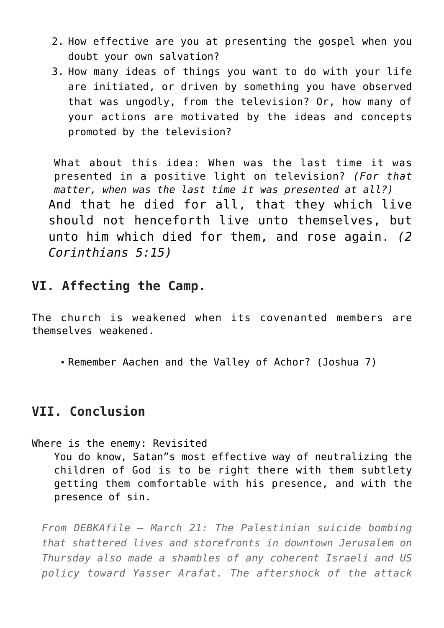- 2. How effective are you at presenting the gospel when you doubt your own salvation?
- 3. How many ideas of things you want to do with your life are initiated, or driven by something you have observed that was ungodly, from the television? Or, how many of your actions are motivated by the ideas and concepts promoted by the television?

What about this idea: When was the last time it was presented in a positive light on television? *(For that matter, when was the last time it was presented at all?)* And that he died for all, that they which live should not henceforth live unto themselves, but unto him which died for them, and rose again. *(2 Corinthians 5:15)*

#### **VI. Affecting the Camp.**

The church is weakened when its covenanted members are themselves weakened.

Remember Aachen and the Valley of Achor? (Joshua 7)

## **VII. Conclusion**

Where is the enemy: Revisited You do know, Satan"s most effective way of neutralizing the children of God is to be right there with them subtlety getting them comfortable with his presence, and with the presence of sin.

*From DEBKAfile — March 21: The Palestinian suicide bombing that shattered lives and storefronts in downtown Jerusalem on Thursday also made a shambles of any coherent Israeli and US policy toward Yasser Arafat. The aftershock of the attack*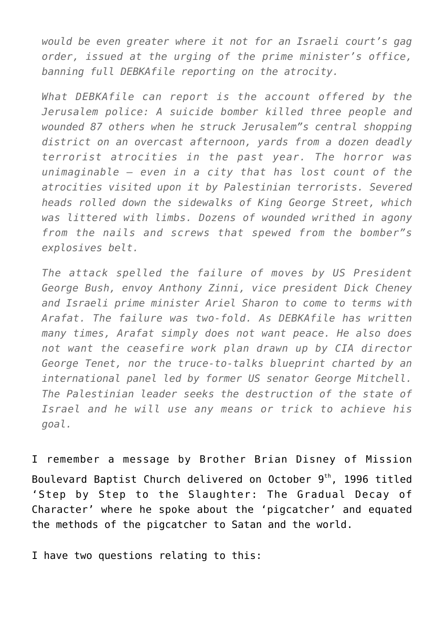*would be even greater where it not for an Israeli court's gag order, issued at the urging of the prime minister's office, banning full DEBKAfile reporting on the atrocity.*

*What DEBKAfile can report is the account offered by the Jerusalem police: A suicide bomber killed three people and wounded 87 others when he struck Jerusalem"s central shopping district on an overcast afternoon, yards from a dozen deadly terrorist atrocities in the past year. The horror was unimaginable – even in a city that has lost count of the atrocities visited upon it by Palestinian terrorists. Severed heads rolled down the sidewalks of King George Street, which was littered with limbs. Dozens of wounded writhed in agony from the nails and screws that spewed from the bomber"s explosives belt.*

*The attack spelled the failure of moves by US President George Bush, envoy Anthony Zinni, vice president Dick Cheney and Israeli prime minister Ariel Sharon to come to terms with Arafat. The failure was two-fold. As DEBKAfile has written many times, Arafat simply does not want peace. He also does not want the ceasefire work plan drawn up by CIA director George Tenet, nor the truce-to-talks blueprint charted by an international panel led by former US senator George Mitchell. The Palestinian leader seeks the destruction of the state of Israel and he will use any means or trick to achieve his goal.*

I remember a message by Brother Brian Disney of Mission Boulevard Baptist Church delivered on October 9<sup>th</sup>, 1996 titled 'Step by Step to the Slaughter: The Gradual Decay of Character' where he spoke about the 'pigcatcher' and equated the methods of the pigcatcher to Satan and the world.

I have two questions relating to this: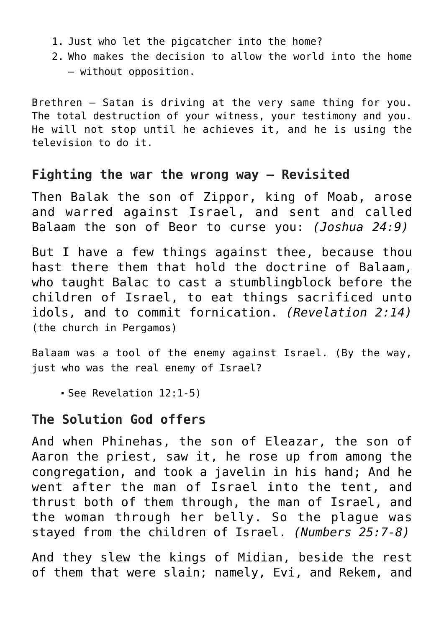- 1. Just who let the pigcatcher into the home?
- 2. Who makes the decision to allow the world into the home — without opposition.

Brethren — Satan is driving at the very same thing for you. The total destruction of your witness, your testimony and you. He will not stop until he achieves it, and he is using the television to do it.

## **Fighting the war the wrong way — Revisited**

Then Balak the son of Zippor, king of Moab, arose and warred against Israel, and sent and called Balaam the son of Beor to curse you: *(Joshua 24:9)*

But I have a few things against thee, because thou hast there them that hold the doctrine of Balaam, who taught Balac to cast a stumblingblock before the children of Israel, to eat things sacrificed unto idols, and to commit fornication. *(Revelation 2:14)* (the church in Pergamos)

Balaam was a tool of the enemy against Israel. (By the way, just who was the real enemy of Israel?

See Revelation 12:1-5)

## **The Solution God offers**

And when Phinehas, the son of Eleazar, the son of Aaron the priest, saw it, he rose up from among the congregation, and took a javelin in his hand; And he went after the man of Israel into the tent, and thrust both of them through, the man of Israel, and the woman through her belly. So the plague was stayed from the children of Israel. *(Numbers 25:7-8)*

And they slew the kings of Midian, beside the rest of them that were slain; namely, Evi, and Rekem, and